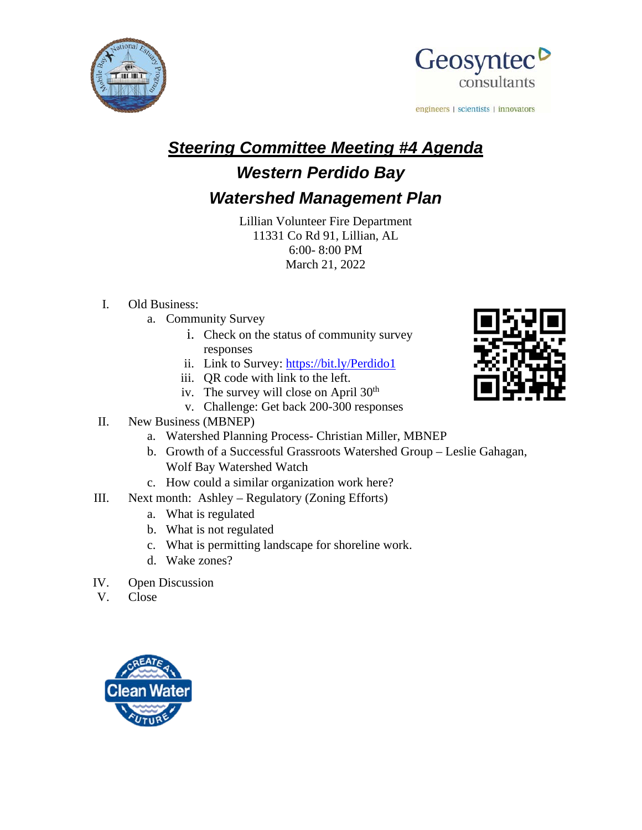



engineers | scientists | innovators

# *Steering Committee Meeting #4 Agenda*

## *Western Perdido Bay*

### *Watershed Management Plan*

Lillian Volunteer Fire Department 11331 Co Rd 91, Lillian, AL 6:00- 8:00 PM March 21, 2022

### I. Old Business:

- a. Community Survey
	- i. Check on the status of community survey responses
	- ii. Link to Survey:<https://bit.ly/Perdido1>
	- iii. QR code with link to the left.
	- iv. The survey will close on April 30<sup>th</sup>
	- v. Challenge: Get back 200-300 responses

#### II. New Business (MBNEP)

- a. Watershed Planning Process- Christian Miller, MBNEP
- b. Growth of a Successful Grassroots Watershed Group Leslie Gahagan, Wolf Bay Watershed Watch
- c. How could a similar organization work here?
- III. Next month: Ashley Regulatory (Zoning Efforts)
	- a. What is regulated
	- b. What is not regulated
	- c. What is permitting landscape for shoreline work.
	- d. Wake zones?
- IV. Open Discussion
- V. Close



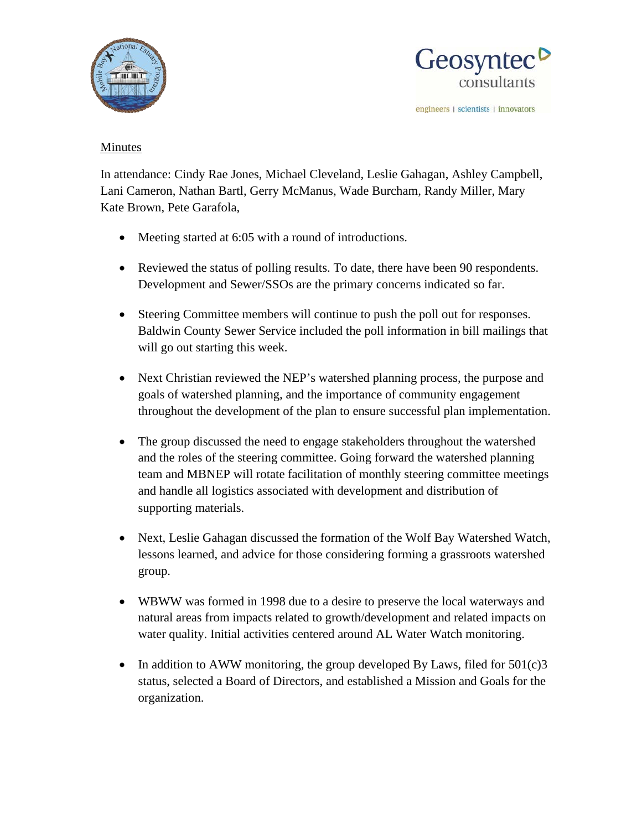



engineers | scientists | innovators

#### Minutes

In attendance: Cindy Rae Jones, Michael Cleveland, Leslie Gahagan, Ashley Campbell, Lani Cameron, Nathan Bartl, Gerry McManus, Wade Burcham, Randy Miller, Mary Kate Brown, Pete Garafola,

- Meeting started at 6:05 with a round of introductions.
- Reviewed the status of polling results. To date, there have been 90 respondents. Development and Sewer/SSOs are the primary concerns indicated so far.
- Steering Committee members will continue to push the poll out for responses. Baldwin County Sewer Service included the poll information in bill mailings that will go out starting this week.
- Next Christian reviewed the NEP's watershed planning process, the purpose and goals of watershed planning, and the importance of community engagement throughout the development of the plan to ensure successful plan implementation.
- The group discussed the need to engage stakeholders throughout the watershed and the roles of the steering committee. Going forward the watershed planning team and MBNEP will rotate facilitation of monthly steering committee meetings and handle all logistics associated with development and distribution of supporting materials.
- Next, Leslie Gahagan discussed the formation of the Wolf Bay Watershed Watch, lessons learned, and advice for those considering forming a grassroots watershed group.
- WBWW was formed in 1998 due to a desire to preserve the local waterways and natural areas from impacts related to growth/development and related impacts on water quality. Initial activities centered around AL Water Watch monitoring.
- In addition to AWW monitoring, the group developed By Laws, filed for  $501(c)3$ status, selected a Board of Directors, and established a Mission and Goals for the organization.